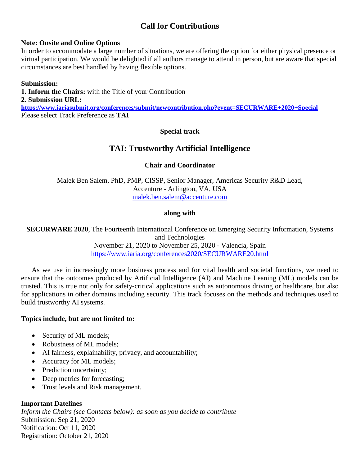# **Call for Contributions**

#### **Note: Onsite and Online Options**

In order to accommodate a large number of situations, we are offering the option for either physical presence or virtual participation. We would be delighted if all authors manage to attend in person, but are aware that special circumstances are best handled by having flexible options.

#### **Submission:**

**1. Inform the Chairs:** with the Title of your Contribution **2. Submission URL: <https://www.iariasubmit.org/conferences/submit/newcontribution.php?event=SECURWARE+2020+Special>** Please select Track Preference as **TAI**

## **Special track**

# **TAI: Trustworthy Artificial Intelligence**

#### **Chair and Coordinator**

Malek Ben Salem, PhD, PMP, CISSP, Senior Manager, Americas Security R&D Lead, Accenture - Arlington, VA, USA [malek.ben.salem@accenture.com](mailto:malek.ben.salem@accenture.com)

#### **along with**

**SECURWARE 2020**, The Fourteenth International Conference on Emerging Security Information, Systems and Technologies November 21, 2020 to November 25, 2020 - Valencia, Spain <https://www.iaria.org/conferences2020/SECURWARE20.html>

As we use in increasingly more business process and for vital health and societal functions, we need to ensure that the outcomes produced by Artificial Intelligence (AI) and Machine Leaning (ML) models can be trusted. This is true not only for safety-critical applications such as autonomous driving or healthcare, but also for applications in other domains including security. This track focuses on the methods and techniques used to build trustworthy AI systems.

#### **Topics include, but are not limited to:**

- Security of ML models;
- Robustness of ML models;
- AI fairness, explainability, privacy, and accountability;
- Accuracy for ML models;
- Prediction uncertainty;
- Deep metrics for forecasting;
- Trust levels and Risk management.

#### **Important Datelines**

*Inform the Chairs (see Contacts below): as soon as you decide to contribute* Submission: Sep 21, 2020 Notification: Oct 11, 2020 Registration: October 21, 2020